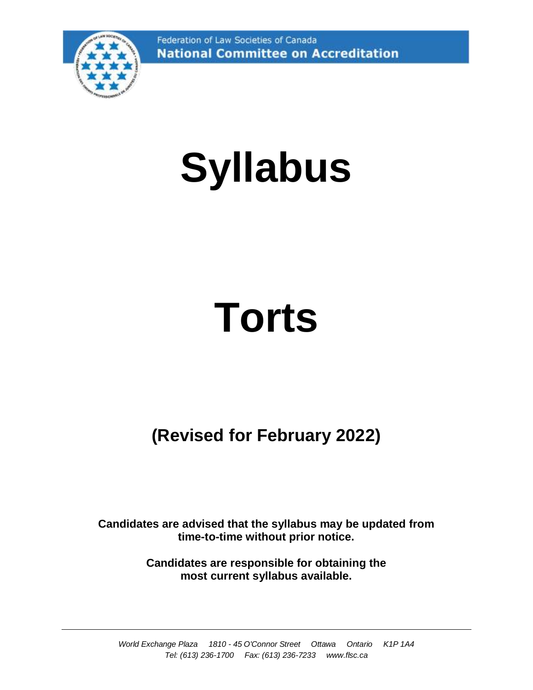Federation of Law Societies of Canada **National Committee on Accreditation** 



# **Syllabus**

# **Torts**

# **(Revised for February 2022)**

**Candidates are advised that the syllabus may be updated from time-to-time without prior notice.**

> **Candidates are responsible for obtaining the most current syllabus available.**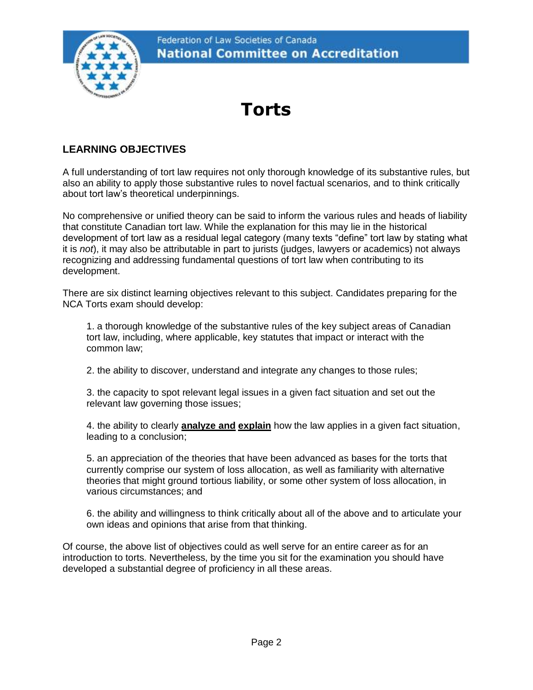

# **Torts**

# **LEARNING OBJECTIVES**

A full understanding of tort law requires not only thorough knowledge of its substantive rules, but also an ability to apply those substantive rules to novel factual scenarios, and to think critically about tort law's theoretical underpinnings.

No comprehensive or unified theory can be said to inform the various rules and heads of liability that constitute Canadian tort law. While the explanation for this may lie in the historical development of tort law as a residual legal category (many texts "define" tort law by stating what it is *not*), it may also be attributable in part to jurists (judges, lawyers or academics) not always recognizing and addressing fundamental questions of tort law when contributing to its development.

There are six distinct learning objectives relevant to this subject. Candidates preparing for the NCA Torts exam should develop:

1. a thorough knowledge of the substantive rules of the key subject areas of Canadian tort law, including, where applicable, key statutes that impact or interact with the common law;

2. the ability to discover, understand and integrate any changes to those rules;

3. the capacity to spot relevant legal issues in a given fact situation and set out the relevant law governing those issues;

4. the ability to clearly **analyze and explain** how the law applies in a given fact situation, leading to a conclusion;

5. an appreciation of the theories that have been advanced as bases for the torts that currently comprise our system of loss allocation, as well as familiarity with alternative theories that might ground tortious liability, or some other system of loss allocation, in various circumstances; and

6. the ability and willingness to think critically about all of the above and to articulate your own ideas and opinions that arise from that thinking.

Of course, the above list of objectives could as well serve for an entire career as for an introduction to torts. Nevertheless, by the time you sit for the examination you should have developed a substantial degree of proficiency in all these areas.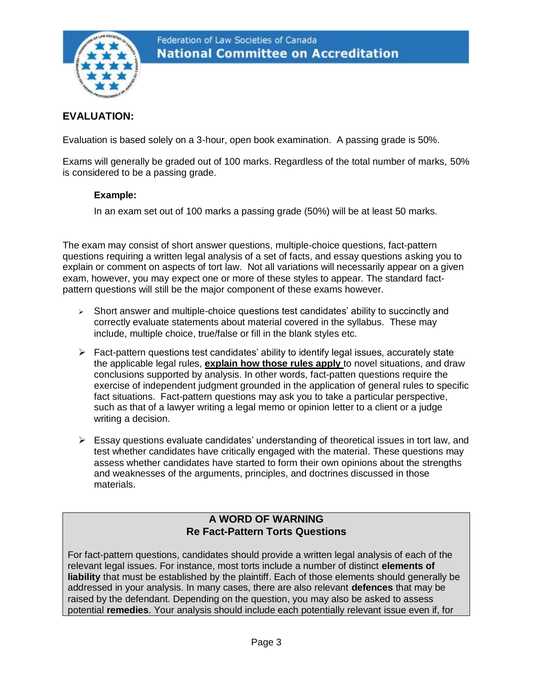

# **EVALUATION:**

Evaluation is based solely on a 3-hour, open book examination. A passing grade is 50%.

Exams will generally be graded out of 100 marks. Regardless of the total number of marks, 50% is considered to be a passing grade.

#### **Example:**

In an exam set out of 100 marks a passing grade (50%) will be at least 50 marks.

The exam may consist of short answer questions, multiple-choice questions, fact-pattern questions requiring a written legal analysis of a set of facts, and essay questions asking you to explain or comment on aspects of tort law. Not all variations will necessarily appear on a given exam, however, you may expect one or more of these styles to appear. The standard factpattern questions will still be the major component of these exams however.

- ➢ Short answer and multiple-choice questions test candidates' ability to succinctly and correctly evaluate statements about material covered in the syllabus. These may include, multiple choice, true/false or fill in the blank styles etc.
- ➢ Fact-pattern questions test candidates' ability to identify legal issues, accurately state the applicable legal rules, **explain how those rules apply** to novel situations, and draw conclusions supported by analysis. In other words, fact-patten questions require the exercise of independent judgment grounded in the application of general rules to specific fact situations. Fact-pattern questions may ask you to take a particular perspective, such as that of a lawyer writing a legal memo or opinion letter to a client or a judge writing a decision.
- ➢ Essay questions evaluate candidates' understanding of theoretical issues in tort law, and test whether candidates have critically engaged with the material. These questions may assess whether candidates have started to form their own opinions about the strengths and weaknesses of the arguments, principles, and doctrines discussed in those materials.

# **A WORD OF WARNING Re Fact-Pattern Torts Questions**

For fact-pattern questions, candidates should provide a written legal analysis of each of the relevant legal issues. For instance, most torts include a number of distinct **elements of liability** that must be established by the plaintiff. Each of those elements should generally be addressed in your analysis. In many cases, there are also relevant **defences** that may be raised by the defendant. Depending on the question, you may also be asked to assess potential **remedies**. Your analysis should include each potentially relevant issue even if, for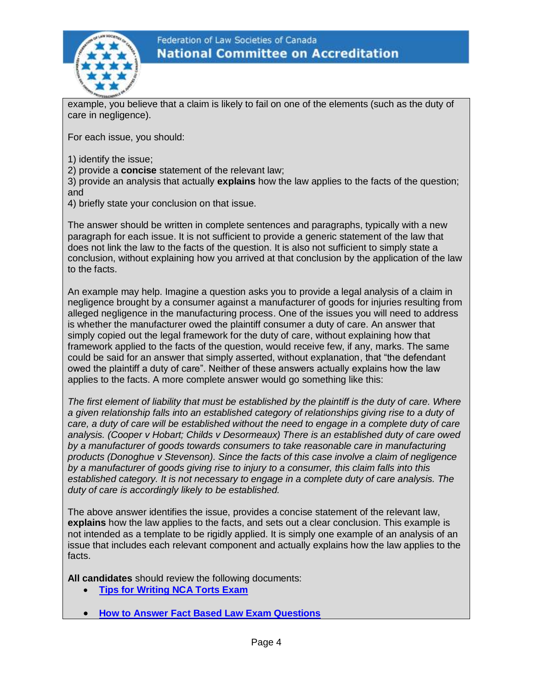

example, you believe that a claim is likely to fail on one of the elements (such as the duty of care in negligence).

For each issue, you should:

1) identify the issue;

2) provide a **concise** statement of the relevant law;

3) provide an analysis that actually **explains** how the law applies to the facts of the question; and

4) briefly state your conclusion on that issue.

The answer should be written in complete sentences and paragraphs, typically with a new paragraph for each issue. It is not sufficient to provide a generic statement of the law that does not link the law to the facts of the question. It is also not sufficient to simply state a conclusion, without explaining how you arrived at that conclusion by the application of the law to the facts.

An example may help. Imagine a question asks you to provide a legal analysis of a claim in negligence brought by a consumer against a manufacturer of goods for injuries resulting from alleged negligence in the manufacturing process. One of the issues you will need to address is whether the manufacturer owed the plaintiff consumer a duty of care. An answer that simply copied out the legal framework for the duty of care, without explaining how that framework applied to the facts of the question, would receive few, if any, marks. The same could be said for an answer that simply asserted, without explanation, that "the defendant owed the plaintiff a duty of care". Neither of these answers actually explains how the law applies to the facts. A more complete answer would go something like this:

*The first element of liability that must be established by the plaintiff is the duty of care. Where a given relationship falls into an established category of relationships giving rise to a duty of care, a duty of care will be established without the need to engage in a complete duty of care analysis. (Cooper v Hobart; Childs v Desormeaux) There is an established duty of care owed by a manufacturer of goods towards consumers to take reasonable care in manufacturing products (Donoghue v Stevenson). Since the facts of this case involve a claim of negligence by a manufacturer of goods giving rise to injury to a consumer, this claim falls into this established category. It is not necessary to engage in a complete duty of care analysis. The duty of care is accordingly likely to be established.* 

The above answer identifies the issue, provides a concise statement of the relevant law, **explains** how the law applies to the facts, and sets out a clear conclusion. This example is not intended as a template to be rigidly applied. It is simply one example of an analysis of an issue that includes each relevant component and actually explains how the law applies to the facts.

**All candidates** should review the following documents:

- **[Tips for Writing NCA Torts Exam](https://nca.legal/wp-content/uploads/2021/05/Write-Torts-E2.pdf)**
- **[How to Answer Fact Based Law Exam Questions](https://nca.legal/wp-content/uploads/2019/09/HowToWriteSept2019.pdf)**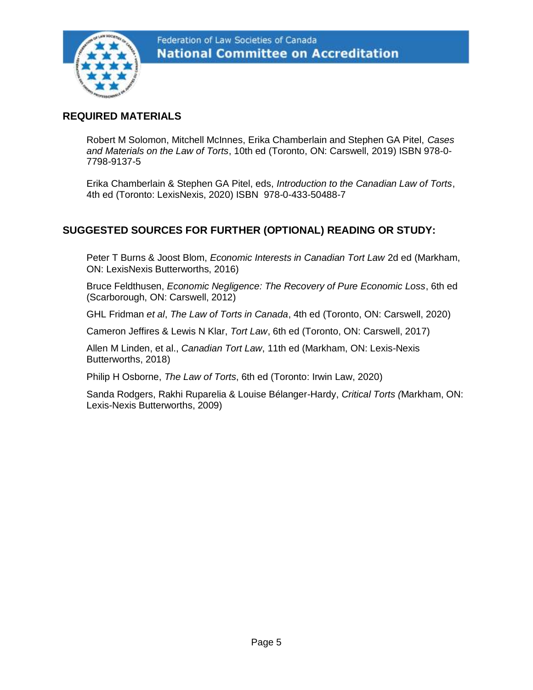

# **REQUIRED MATERIALS**

Robert M Solomon, Mitchell McInnes, Erika Chamberlain and Stephen GA Pitel, *Cases and Materials on the Law of Torts*, 10th ed (Toronto, ON: Carswell, 2019) ISBN 978-0- 7798-9137-5

Erika Chamberlain & Stephen GA Pitel, eds, *Introduction to the Canadian Law of Torts*, 4th ed (Toronto: LexisNexis, 2020) ISBN 978-0-433-50488-7

# **SUGGESTED SOURCES FOR FURTHER (OPTIONAL) READING OR STUDY:**

Peter T Burns & Joost Blom, *Economic Interests in Canadian Tort Law* 2d ed (Markham, ON: LexisNexis Butterworths, 2016)

Bruce Feldthusen, *Economic Negligence: The Recovery of Pure Economic Loss*, 6th ed (Scarborough, ON: Carswell, 2012)

GHL Fridman *et al*, *The Law of Torts in Canada*, 4th ed (Toronto, ON: Carswell, 2020)

Cameron Jeffires & Lewis N Klar, *Tort Law*, 6th ed (Toronto, ON: Carswell, 2017)

Allen M Linden, et al., *Canadian Tort Law*, 11th ed (Markham, ON: Lexis-Nexis Butterworths, 2018)

Philip H Osborne, *The Law of Torts*, 6th ed (Toronto: Irwin Law, 2020)

Sanda Rodgers, Rakhi Ruparelia & Louise Bélanger-Hardy, *Critical Torts (*Markham, ON: Lexis-Nexis Butterworths, 2009)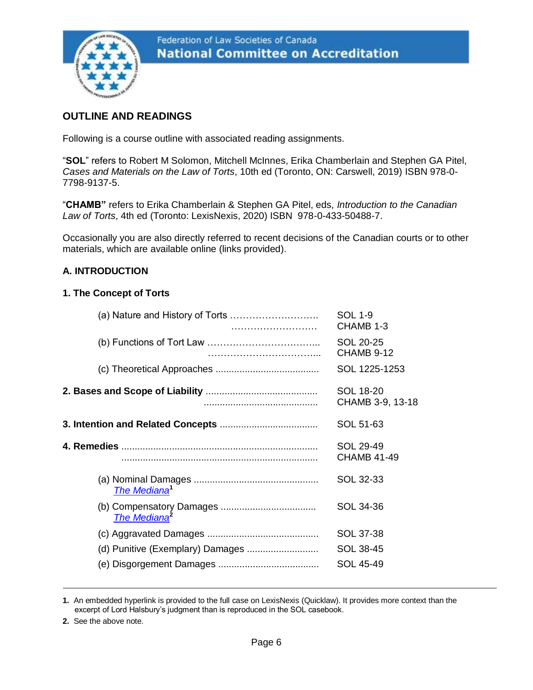

# **OUTLINE AND READINGS**

Following is a course outline with associated reading assignments.

"**SOL**" refers to Robert M Solomon, Mitchell McInnes, Erika Chamberlain and Stephen GA Pitel, *Cases and Materials on the Law of Torts*, 10th ed (Toronto, ON: Carswell, 2019) ISBN 978-0- 7798-9137-5.

"**CHAMB"** refers to Erika Chamberlain & Stephen GA Pitel, eds, *Introduction to the Canadian Law of Torts*, 4th ed (Toronto: LexisNexis, 2020) ISBN 978-0-433-50488-7.

Occasionally you are also directly referred to recent decisions of the Canadian courts or to other materials, which are available online (links provided).

# **A. INTRODUCTION**

#### **1. The Concept of Torts**

| (a) Nature and History of Torts | <b>SOL 1-9</b><br>CHAMB 1-3          |
|---------------------------------|--------------------------------------|
|                                 | SOL 20-25<br>CHAMB 9-12              |
|                                 | SOL 1225-1253                        |
|                                 | <b>SOL 18-20</b><br>CHAMB 3-9, 13-18 |
|                                 | SOL 51-63                            |
|                                 | SOL 29-49<br><b>CHAMB 41-49</b>      |
| The Mediana <sup>1</sup>        | SOL 32-33                            |
| The Mediana <sup>2</sup>        | SOL 34-36                            |
|                                 | SOL 37-38                            |
|                                 | SOL 38-45                            |
|                                 | <b>SOL 45-49</b>                     |
|                                 |                                      |

**1.** An embedded hyperlink is provided to the full case on LexisNexis (Quicklaw). It provides more context than the excerpt of Lord Halsbury's judgment than is reproduced in the SOL casebook.

**2.** See the above note.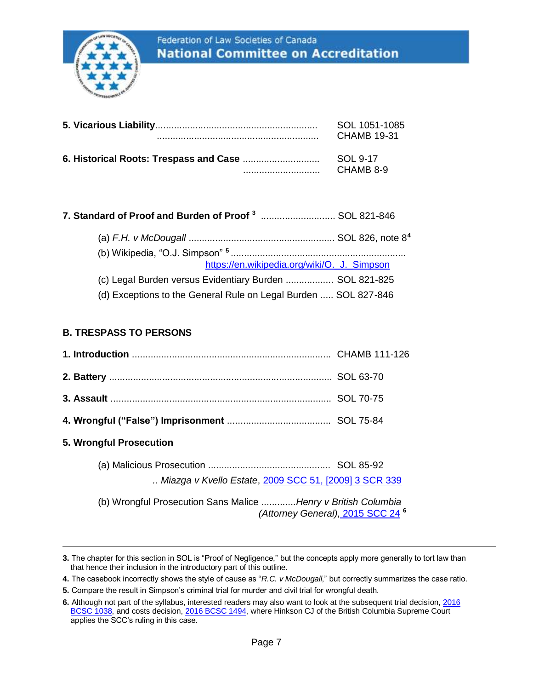

| SOL 1051-1085 |
|---------------|
| CHAMB 19-31   |
| SOL 9-17      |
| CHAMB 8-9     |

# **7. Standard of Proof and Burden of Proof <sup>3</sup>** ............................ SOL 821-846

| https://en.wikipedia.org/wiki/O._J._Simpson                     |  |
|-----------------------------------------------------------------|--|
| (c) Legal Burden versus Evidentiary Burden  SOL 821-825         |  |
| (d) Exceptions to the General Rule on Legal Burden  SOL 827-846 |  |

## **B. TRESPASS TO PERSONS**

| 5. Wrongful Prosecution |  |
|-------------------------|--|

(a) Malicious Prosecution .............................................. SOL 85-92 *.. Miazga v Kvello Estate*, [2009 SCC 51, \[2009\] 3 SCR 339](https://scc-csc.lexum.com/scc-csc/scc-csc/en/item/7827/index.do)

(b) Wrongful Prosecution Sans Malice .............*[Henry v British Columbia](https://scc-csc.lexum.com/scc-csc/scc-csc/en/item/15329/index.do)  [\(Attorney General\),](https://scc-csc.lexum.com/scc-csc/scc-csc/en/item/15329/index.do)* 2015 SCC 24 **<sup>6</sup>**

**<sup>3.</sup>** The chapter for this section in SOL is "Proof of Negligence," but the concepts apply more generally to tort law than that hence their inclusion in the introductory part of this outline.

**<sup>4.</sup>** The casebook incorrectly shows the style of cause as "*R.C. v McDougall*," but correctly summarizes the case ratio.

**<sup>5.</sup>** Compare the result in Simpson's criminal trial for murder and civil trial for wrongful death.

**<sup>6.</sup>** Although not part of the syllabus, interested readers may also want to look at the subsequent trial decision[, 2016](http://www.canlii.org/en/bc/bcsc/doc/2016/2016bcsc1038/2016bcsc1038.html)  [BCSC 1038,](http://www.canlii.org/en/bc/bcsc/doc/2016/2016bcsc1038/2016bcsc1038.html) and costs decision[, 2016 BCSC 1494,](http://www.canlii.org/en/bc/bcsc/doc/2016/2016bcsc1494/2016bcsc1494.html) where Hinkson CJ of the British Columbia Supreme Court applies the SCC's ruling in this case.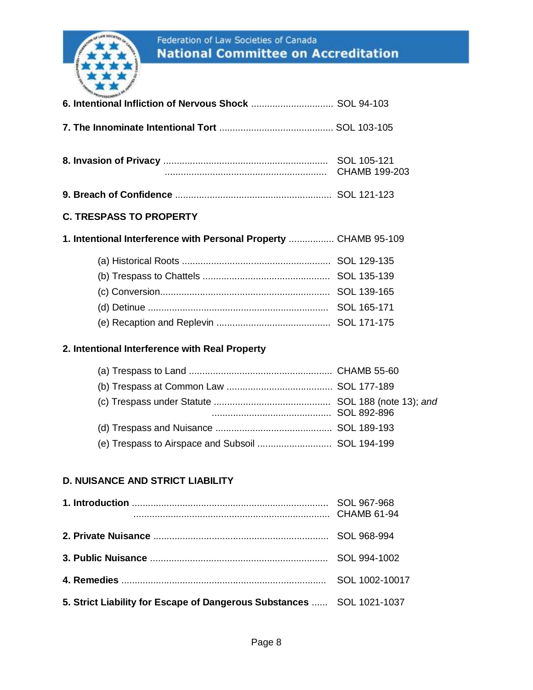

**5. Strict Liability for Escape of Dangerous Substances** ...... SOL 1021-1037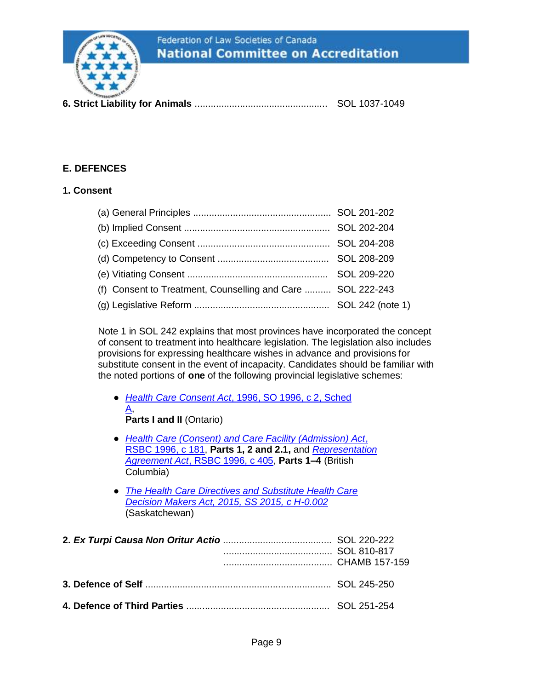

**6. Strict Liability for Animals** .................................................. SOL 1037-1049

# **E. DEFENCES**

#### **1. Consent**

| (f) Consent to Treatment, Counselling and Care  SOL 222-243 |  |
|-------------------------------------------------------------|--|
|                                                             |  |

Note 1 in SOL 242 explains that most provinces have incorporated the concept of consent to treatment into healthcare legislation. The legislation also includes provisions for expressing healthcare wishes in advance and provisions for substitute consent in the event of incapacity. Candidates should be familiar with the noted portions of **one** of the following provincial legislative schemes:

- *Health Care Consent Act*[, 1996, SO 1996, c 2, Sched](https://www.ontario.ca/laws/statute/96h02)  [A,](https://www.ontario.ca/laws/statute/96h02) **Parts I and II (Ontario)**
- *[Health Care \(Consent\) and Care Facility \(Admission\) Act](http://www.bclaws.ca/civix/document/id/complete/statreg/96181_01)*, RSBC [1996, c 181,](http://www.bclaws.ca/civix/document/id/complete/statreg/96181_01) **Parts 1, 2 and 2.1,** and *[Representation](http://www.bclaws.ca/civix/document/id/complete/statreg/96405_01)  Agreement Act*[, RSBC 1996, c 405,](http://www.bclaws.ca/civix/document/id/complete/statreg/96405_01) **Parts 1–4** (British Columbia)
- *[The Health Care Directives and Substitute Health Care](http://www.canlii.org/en/sk/laws/stat/ss-2015-c-h-0.002/latest/ss-2015-c-h-0.002.html)  [Decision Makers Act, 2015, SS 2015, c H-0.002](http://www.canlii.org/en/sk/laws/stat/ss-2015-c-h-0.002/latest/ss-2015-c-h-0.002.html)* (Saskatchewan)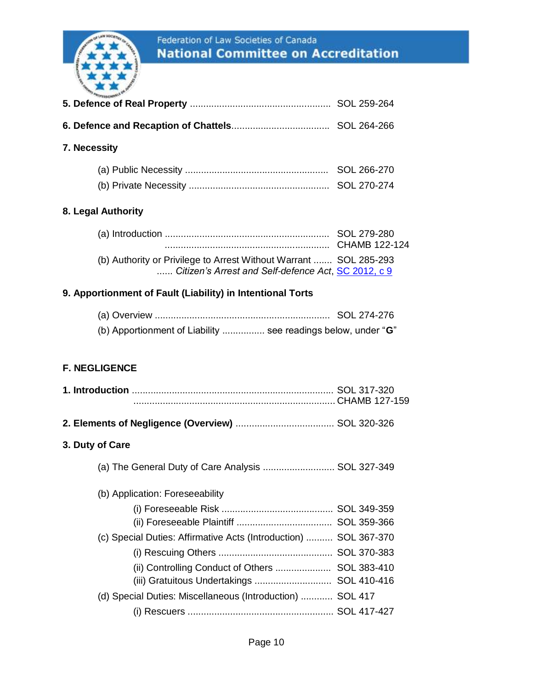

| 7. Necessity                                                                                                             |  |
|--------------------------------------------------------------------------------------------------------------------------|--|
|                                                                                                                          |  |
|                                                                                                                          |  |
| 8. Legal Authority                                                                                                       |  |
|                                                                                                                          |  |
| (b) Authority or Privilege to Arrest Without Warrant  SOL 285-293<br>Citizen's Arrest and Self-defence Act, SC 2012, c 9 |  |
| 9. Apportionment of Fault (Liability) in Intentional Torts                                                               |  |
|                                                                                                                          |  |
| (b) Apportionment of Liability  see readings below, under "G"                                                            |  |
|                                                                                                                          |  |
| <b>F. NEGLIGENCE</b>                                                                                                     |  |
|                                                                                                                          |  |
|                                                                                                                          |  |
|                                                                                                                          |  |
| 3. Duty of Care                                                                                                          |  |
| (a) The General Duty of Care Analysis  SOL 327-349                                                                       |  |
| (b) Application: Foreseeability                                                                                          |  |
|                                                                                                                          |  |
|                                                                                                                          |  |
| (c) Special Duties: Affirmative Acts (Introduction)  SOL 367-370                                                         |  |
|                                                                                                                          |  |
| (ii) Controlling Conduct of Others  SOL 383-410                                                                          |  |
| (iii) Gratuitous Undertakings  SOL 410-416                                                                               |  |
| (d) Special Duties: Miscellaneous (Introduction)  SOL 417                                                                |  |
|                                                                                                                          |  |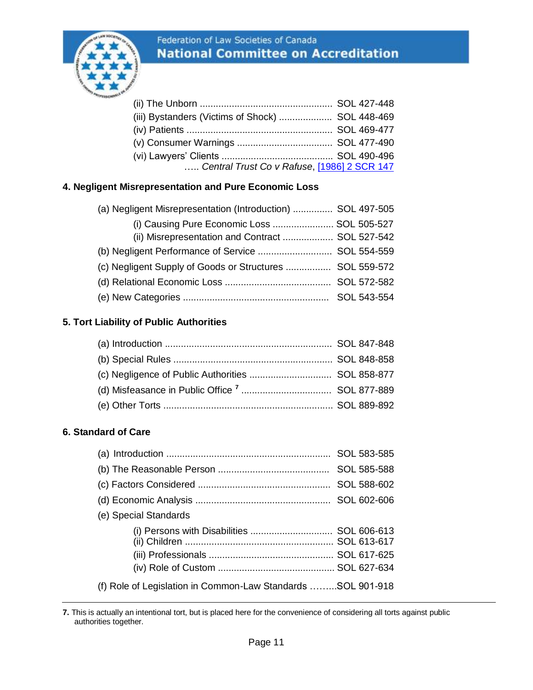

| (iii) Bystanders (Victims of Shock)  SOL 448-469 |  |
|--------------------------------------------------|--|
|                                                  |  |
|                                                  |  |
|                                                  |  |
| Central Trust Co v Rafuse, [1986] 2 SCR 147      |  |

# **4. Negligent Misrepresentation and Pure Economic Loss**

| (a) Negligent Misrepresentation (Introduction)  SOL 497-505 |  |
|-------------------------------------------------------------|--|
| (i) Causing Pure Economic Loss  SOL 505-527                 |  |
| (ii) Misrepresentation and Contract  SOL 527-542            |  |
|                                                             |  |
| (c) Negligent Supply of Goods or Structures  SOL 559-572    |  |
|                                                             |  |
|                                                             |  |

# **5. Tort Liability of Public Authorities**

# **6. Standard of Care**

| (e) Special Standards                                       |  |
|-------------------------------------------------------------|--|
|                                                             |  |
|                                                             |  |
|                                                             |  |
| (f) Role of Legislation in Common-Law Standards SOL 901-918 |  |

**<sup>7.</sup>** This is actually an intentional tort, but is placed here for the convenience of considering all torts against public authorities together.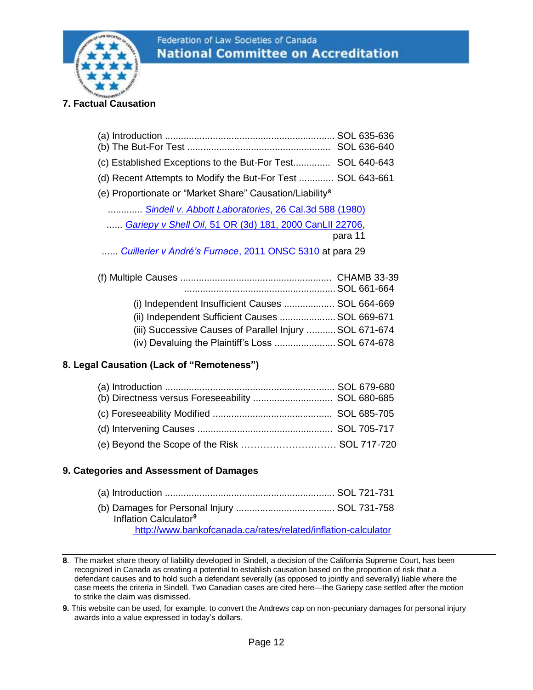

# **7. Factual Causation**

| (c) Established Exceptions to the But-For Test SOL 640-643           |         |
|----------------------------------------------------------------------|---------|
| (d) Recent Attempts to Modify the But-For Test  SOL 643-661          |         |
| (e) Proportionate or "Market Share" Causation/Liability <sup>8</sup> |         |
| Sindell v. Abbott Laboratories, 26 Cal.3d 588 (1980)                 |         |
| Gariepy v Shell Oil, 51 OR (3d) 181, 2000 CanLII 22706,              |         |
|                                                                      | para 11 |
| Cuillerier v André's Furnace, 2011 ONSC 5310 at para 29              |         |
|                                                                      |         |
| (i) Independent Insufficient Causes  SOL 664-669                     |         |
| (ii) Independent Sufficient Causes  SOL 669-671                      |         |
| (iii) Successive Causes of Parallel Injury  SOL 671-674              |         |

#### **8. Legal Causation (Lack of "Remoteness")**

| (b) Directness versus Foreseeability  SOL 680-685 |  |
|---------------------------------------------------|--|
|                                                   |  |
|                                                   |  |
|                                                   |  |

(iv) Devaluing the Plaintiff's Loss .......................SOL 674-678

## **9. Categories and Assessment of Damages**

| Inflation Calculator <sup>9</sup>                             |  |
|---------------------------------------------------------------|--|
| http://www.bankofcanada.ca/rates/related/inflation-calculator |  |

**<sup>8</sup>**. The market share theory of liability developed in Sindell, a decision of the California Supreme Court, has been recognized in Canada as creating a potential to establish causation based on the proportion of risk that a defendant causes and to hold such a defendant severally (as opposed to jointly and severally) liable where the case meets the criteria in Sindell. Two Canadian cases are cited here—the Gariepy case settled after the motion to strike the claim was dismissed.

**<sup>9.</sup>** This website can be used, for example, to convert the Andrews cap on non-pecuniary damages for personal injury awards into a value expressed in today's dollars.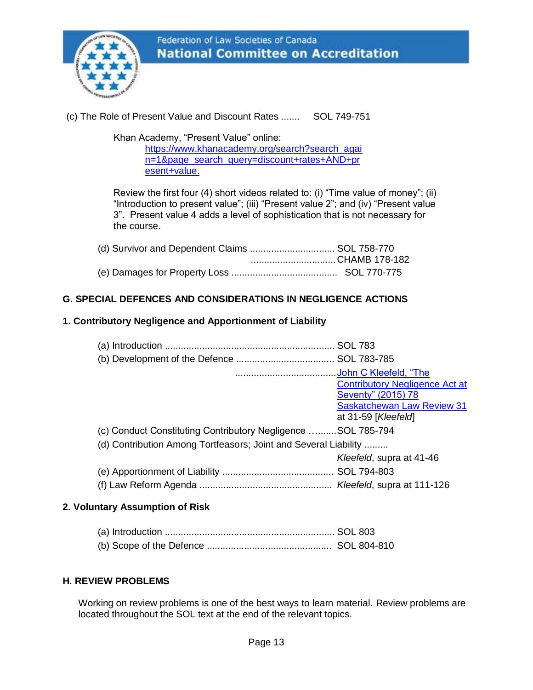

# (c) The Role of Present Value and Discount Rates ....... SOL 749-751

Khan Academy, "Present Value" online:

[https://www.khanacademy.org/search?search\\_agai](https://www.khanacademy.org/search?search_again=1&page_search_query=discount+rates+AND+present+value) [n=1&page\\_search\\_query=discount+rates+AND+pr](https://www.khanacademy.org/search?search_again=1&page_search_query=discount+rates+AND+present+value) [esent+value.](https://www.khanacademy.org/search?search_again=1&page_search_query=discount+rates+AND+present+value)

Review the first four (4) short videos related to: (i) "Time value of money"; (ii) "Introduction to present value"; (iii) "Present value 2"; and (iv) "Present value 3". Present value 4 adds a level of sophistication that is not necessary for the course.

| (d) Survivor and Dependent Claims  SOL 758-770 |  |
|------------------------------------------------|--|
| CHAMB 178-182                                  |  |
|                                                |  |

# **G. SPECIAL DEFENCES AND CONSIDERATIONS IN NEGLIGENCE ACTIONS**

#### **1. Contributory Negligence and Apportionment of Liability**

|                                                                 | John C Kleefeld, "The<br><b>Contributory Negligence Act at</b><br>Seventy" (2015) 78<br><b>Saskatchewan Law Review 31</b><br>at 31-59 [Kleefeld] |
|-----------------------------------------------------------------|--------------------------------------------------------------------------------------------------------------------------------------------------|
| (c) Conduct Constituting Contributory Negligence SOL 785-794    |                                                                                                                                                  |
| (d) Contribution Among Tortfeasors; Joint and Several Liability |                                                                                                                                                  |
|                                                                 | Kleefeld, supra at 41-46                                                                                                                         |
|                                                                 |                                                                                                                                                  |
|                                                                 |                                                                                                                                                  |

#### **2. Voluntary Assumption of Risk**

#### **H. REVIEW PROBLEMS**

Working on review problems is one of the best ways to learn material. Review problems are located throughout the SOL text at the end of the relevant topics.